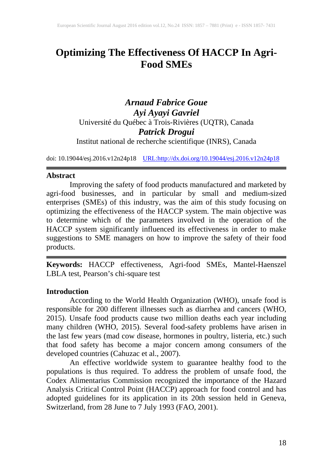# **Optimizing The Effectiveness Of HACCP In Agri-Food SMEs**

*Arnaud Fabrice Goue Ayi Ayayi Gavriel* Université du Québec à Trois-Rivières (UQTR), Canada *Patrick Drogui* 

Institut national de recherche scientifique (INRS), Canada

doi: 10.19044/esj.2016.v12n24p18 [URL:http://dx.doi.org/10.19044/esj.2016.v12n24p18](http://dx.doi.org/10.19044/esj.2016.v12n24p18)

### **Abstract**

Improving the safety of food products manufactured and marketed by agri-food businesses, and in particular by small and medium-sized enterprises (SMEs) of this industry, was the aim of this study focusing on optimizing the effectiveness of the HACCP system. The main objective was to determine which of the parameters involved in the operation of the HACCP system significantly influenced its effectiveness in order to make suggestions to SME managers on how to improve the safety of their food products.

**Keywords:** HACCP effectiveness, Agri-food SMEs, Mantel-Haenszel LBLA test, Pearson's chi-square test

### **Introduction**

According to the World Health Organization (WHO), unsafe food is responsible for 200 different illnesses such as diarrhea and cancers (WHO, 2015). Unsafe food products cause two million deaths each year including many children (WHO, 2015). Several food-safety problems have arisen in the last few years (mad cow disease, hormones in poultry, listeria, etc.) such that food safety has become a major concern among consumers of the developed countries (Cahuzac et al., 2007).

An effective worldwide system to guarantee healthy food to the populations is thus required. To address the problem of unsafe food, the Codex Alimentarius Commission recognized the importance of the Hazard Analysis Critical Control Point (HACCP) approach for food control and has adopted guidelines for its application in its 20th session held in Geneva, Switzerland, from 28 June to 7 July 1993 (FAO, 2001).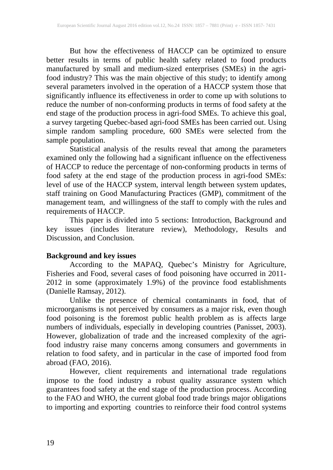But how the effectiveness of HACCP can be optimized to ensure better results in terms of public health safety related to food products manufactured by small and medium-sized enterprises (SMEs) in the agrifood industry? This was the main objective of this study; to identify among several parameters involved in the operation of a HACCP system those that significantly influence its effectiveness in order to come up with solutions to reduce the number of non-conforming products in terms of food safety at the end stage of the production process in agri-food SMEs. To achieve this goal, a survey targeting Quebec-based agri-food SMEs has been carried out. Using simple random sampling procedure, 600 SMEs were selected from the sample population.

Statistical analysis of the results reveal that among the parameters examined only the following had a significant influence on the effectiveness of HACCP to reduce the percentage of non-conforming products in terms of food safety at the end stage of the production process in agri-food SMEs: level of use of the HACCP system, interval length between system updates, staff training on Good Manufacturing Practices (GMP), commitment of the management team, and willingness of the staff to comply with the rules and requirements of HACCP.

This paper is divided into 5 sections: Introduction, Background and key issues (includes literature review), Methodology, Results and Discussion, and Conclusion.

### **Background and key issues**

According to the MAPAQ, Quebec's Ministry for Agriculture, Fisheries and Food, several cases of food poisoning have occurred in 2011- 2012 in some (approximately 1.9%) of the province food establishments (Danielle Ramsay, 2012).

Unlike the presence of chemical contaminants in food, that of microorganisms is not perceived by consumers as a major risk, even though food poisoning is the foremost public health problem as is affects large numbers of individuals, especially in developing countries (Panisset, 2003). However, globalization of trade and the increased complexity of the agrifood industry raise many concerns among consumers and governments in relation to food safety, and in particular in the case of imported food from abroad (FAO, 2016).

However, client requirements and international trade regulations impose to the food industry a robust quality assurance system which guarantees food safety at the end stage of the production process. According to the FAO and WHO, the current global food trade brings major obligations to importing and exporting countries to reinforce their food control systems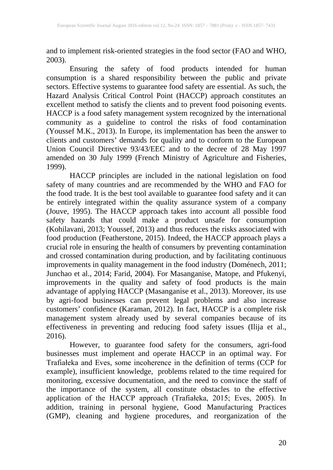and to implement risk-oriented strategies in the food sector (FAO and WHO, 2003).

Ensuring the safety of food products intended for human consumption is a shared responsibility between the public and private sectors. Effective systems to guarantee food safety are essential. As such, the Hazard Analysis Critical Control Point (HACCP) approach constitutes an excellent method to satisfy the clients and to prevent food poisoning events. HACCP is a food safety management system recognized by the international community as a guideline to control the risks of food contamination (Youssef M.K., 2013). In Europe, its implementation has been the answer to clients and customers' demands for quality and to conform to the European Union Council Directive 93/43/EEC and to the decree of 28 May 1997 amended on 30 July 1999 (French Ministry of Agriculture and Fisheries, 1999). 1999).

HACCP principles are included in the national legislation on food safety of many countries and are recommended by the WHO and FAO for the food trade. It is the best tool available to guarantee food safety and it can be entirely integrated within the quality assurance system of a company (Jouve, 1995). The HACCP approach takes into account all possible food safety hazards that could make a product unsafe for consumption (Kohilavani, 2013; Youssef, 2013) and thus reduces the risks associated with food production (Featherstone, 2015). Indeed, the HACCP approach plays a crucial role in ensuring the health of consumers by preventing contamination and crossed contamination during production, and by facilitating continuous improvements in quality management in the food industry (Doménech, 2011; Junchao et al., 2014; Farid, 2004). For Masanganise, Matope, and Pfukenyi, improvements in the quality and safety of food products is the main advantage of applying HACCP (Masanganise et al., 2013). Moreover, its use by agri-food businesses can prevent legal problems and also increase customers' confidence (Karaman, 2012). In fact, HACCP is a complete risk management system already used by several companies because of its effectiveness in preventing and reducing food safety issues (Ilija et al., 2016).

However, to guarantee food safety for the consumers, agri-food businesses must implement and operate HACCP in an optimal way. For Trafiałeka and Eves, some incoherence in the definition of terms (CCP for example), insufficient knowledge, problems related to the time required for monitoring, excessive documentation, and the need to convince the staff of the importance of the system, all constitute obstacles to the effective application of the HACCP approach (Trafiałeka, 2015; Eves, 2005). In addition, training in personal hygiene, Good Manufacturing Practices (GMP), cleaning and hygiene procedures, and reorganization of the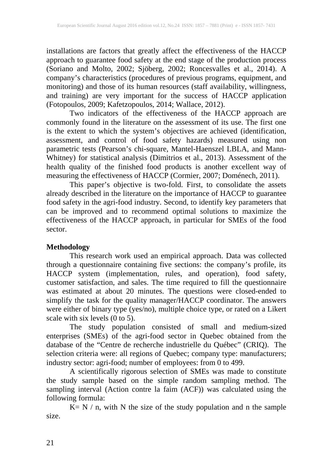installations are factors that greatly affect the effectiveness of the HACCP approach to guarantee food safety at the end stage of the production process (Soriano and Molto, 2002; Sjöberg, 2002; Roncesvalles et al., 2014). A company's characteristics (procedures of previous programs, equipment, and monitoring) and those of its human resources (staff availability, willingness, and training) are very important for the success of HACCP application (Fotopoulos, 2009; Kafetzopoulos, 2014; Wallace, 2012).

Two indicators of the effectiveness of the HACCP approach are commonly found in the literature on the assessment of its use. The first one is the extent to which the system's objectives are achieved (identification, assessment, and control of food safety hazards) measured using non parametric tests (Pearson's chi-square, Mantel-Haenszel LBLA, and Mann-Whitney) for statistical analysis (Dimitrios et al., 2013). Assessment of the health quality of the finished food products is another excellent way of measuring the effectiveness of HACCP (Cormier, 2007; Doménech, 2011).

This paper's objective is two-fold. First, to consolidate the assets already described in the literature on the importance of HACCP to guarantee food safety in the agri-food industry. Second, to identify key parameters that can be improved and to recommend optimal solutions to maximize the effectiveness of the HACCP approach, in particular for SMEs of the food sector.

## **Methodology**

This research work used an empirical approach. Data was collected through a questionnaire containing five sections: the company's profile, its HACCP system (implementation, rules, and operation), food safety, customer satisfaction, and sales. The time required to fill the questionnaire was estimated at about 20 minutes. The questions were closed-ended to simplify the task for the quality manager/HACCP coordinator. The answers were either of binary type (yes/no), multiple choice type, or rated on a Likert scale with six levels  $(0 \text{ to } 5)$ .

The study population consisted of small and medium-sized enterprises (SMEs) of the agri-food sector in Quebec obtained from the database of the "Centre de recherche industrielle du Québec" (CRIQ). The selection criteria were: all regions of Quebec; company type: manufacturers; industry sector: agri-food; number of employees: from 0 to 499.

A scientifically rigorous selection of SMEs was made to constitute the study sample based on the simple random sampling method. The sampling interval (Action contre la faim (ACF)) was calculated using the following formula:

 $K = N / n$ , with N the size of the study population and n the sample size.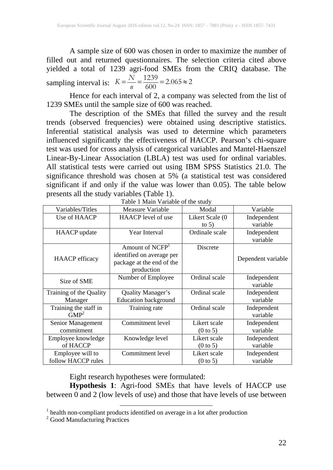A sample size of 600 was chosen in order to maximize the number of filled out and returned questionnaires. The selection criteria cited above yielded a total of 1239 agri-food SMEs from the CRIQ database. The sampling interval is:  $K = \frac{N}{n} = \frac{1239}{600} = 2.065 \approx 2$ 

Hence for each interval of 2, a company was selected from the list of 1239 SMEs until the sample size of 600 was reached.

The description of the SMEs that filled the survey and the result trends (observed frequencies) were obtained using descriptive statistics. Inferential statistical analysis was used to determine which parameters influenced significantly the effectiveness of HACCP. Pearson's chi-square test was used for cross analysis of categorical variables and Mantel-Haenszel Linear-By-Linear Association (LBLA) test was used for ordinal variables. All statistical tests were carried out using IBM SPSS Statistics 21.0. The significance threshold was chosen at 5% (a statistical test was considered significant if and only if the value was lower than 0.05). The table below presents all the study variables (Table 1).

| Variables/Titles        | Measure Variable            | Modal               | Variable           |
|-------------------------|-----------------------------|---------------------|--------------------|
| Use of HAACP            | HAACP level of use          | Likert Scale (0     | Independent        |
|                         |                             | to $5)$             | variable           |
| <b>HAACP</b> update     | Year Interval               | Ordinale scale      | Independent        |
|                         |                             |                     | variable           |
|                         | Amount of NCFP <sup>1</sup> | Discrete            |                    |
|                         | identified on average per   |                     |                    |
| <b>HAACP</b> efficacy   | package at the end of the   |                     | Dependent variable |
|                         | production                  |                     |                    |
| Size of SME             | Number of Employee          | Ordinal scale       | Independent        |
|                         |                             |                     | variable           |
| Training of the Quality | Quality Manager's           | Ordinal scale       | Independent        |
| Manager                 | <b>Education background</b> |                     | variable           |
| Training the staff in   | Training rate               | Ordinal scale       | Independent        |
| GMP <sup>2</sup>        |                             |                     | variable           |
| Senior Management       | Commitment level            | Likert scale        | Independent        |
| commitment              |                             | $(0 \text{ to } 5)$ | variable           |
| Employee knowledge      | Knowledge level             | Likert scale        | Independent        |
| of HACCP                |                             | $(0 \text{ to } 5)$ | variable           |
| Employee will to        | Commitment level            | Likert scale        | Independent        |
| follow HACCP rules      |                             | $(0 \text{ to } 5)$ | variable           |

Table 1 Main Variable of the study

Eight research hypotheses were formulated:

**Hypothesis 1**: Agri-food SMEs that have levels of HACCP use between 0 and 2 (low levels of use) and those that have levels of use between

<sup>&</sup>lt;sup>1</sup> health non-compliant products identified on average in a lot after production  $2^2$  Good Manufacturing Practices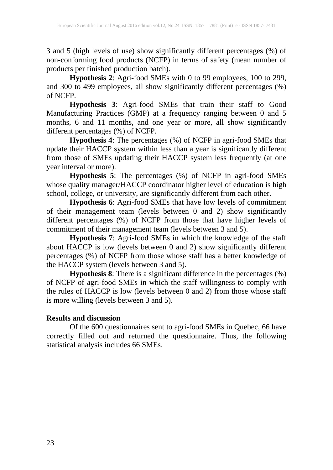3 and 5 (high levels of use) show significantly different percentages (%) of non-conforming food products (NCFP) in terms of safety (mean number of products per finished production batch).

**Hypothesis 2**: Agri-food SMEs with 0 to 99 employees, 100 to 299, and 300 to 499 employees, all show significantly different percentages (%) of NCFP.

**Hypothesis 3**: Agri-food SMEs that train their staff to Good Manufacturing Practices (GMP) at a frequency ranging between 0 and 5 months, 6 and 11 months, and one year or more, all show significantly different percentages (%) of NCFP.

**Hypothesis 4**: The percentages (%) of NCFP in agri-food SMEs that update their HACCP system within less than a year is significantly different from those of SMEs updating their HACCP system less frequently (at one year interval or more).

**Hypothesis 5**: The percentages (%) of NCFP in agri-food SMEs whose quality manager/HACCP coordinator higher level of education is high school, college, or university, are significantly different from each other.

**Hypothesis 6**: Agri-food SMEs that have low levels of commitment of their management team (levels between 0 and 2) show significantly different percentages (%) of NCFP from those that have higher levels of commitment of their management team (levels between 3 and 5).

**Hypothesis 7**: Agri-food SMEs in which the knowledge of the staff about HACCP is low (levels between 0 and 2) show significantly different percentages (%) of NCFP from those whose staff has a better knowledge of the HACCP system (levels between 3 and 5).

**Hypothesis 8**: There is a significant difference in the percentages (%) of NCFP of agri-food SMEs in which the staff willingness to comply with the rules of HACCP is low (levels between 0 and 2) from those whose staff is more willing (levels between 3 and 5).

### **Results and discussion**

Of the 600 questionnaires sent to agri-food SMEs in Quebec, 66 have correctly filled out and returned the questionnaire. Thus, the following statistical analysis includes 66 SMEs.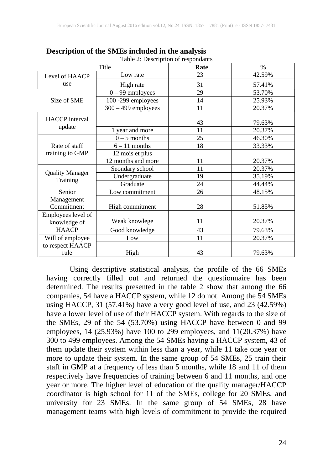|                                    | Title                 | Rate | $\frac{6}{9}$ |
|------------------------------------|-----------------------|------|---------------|
| Level of HAACP                     | Low rate              | 23   | 42.59%        |
| use                                | High rate             | 31   | 57.41%        |
|                                    | $0 - 99$ employees    | 29   | 53.70%        |
| Size of SME                        | 100 -299 employees    | 14   | 25.93%        |
|                                    | $300 - 499$ employees | 11   | 20.37%        |
| <b>HACCP</b> interval              |                       | 43   | 79.63%        |
| update                             | 1 year and more       | 11   | 20.37%        |
|                                    | $0 - 5$ months        | 25   | 46.30%        |
| Rate of staff                      | $6 - 11$ months       | 18   | 33.33%        |
| training to GMP                    | 12 mois et plus       |      |               |
|                                    | 12 months and more    | 11   | 20.37%        |
| <b>Quality Manager</b>             | Seondary school       | 11   | 20.37%        |
| Training                           | Undergraduate         | 19   | 35.19%        |
|                                    | Graduate              | 24   | 44.44%        |
| Senior                             | Low commitment        | 26   | 48.15%        |
| Management<br>Commitment           | High commitment       | 28   | 51.85%        |
| Employees level of<br>knowledge of | Weak knowlege         | 11   | 20.37%        |
| <b>HAACP</b>                       | Good knowledge        | 43   | 79.63%        |
| Will of employee                   | Low                   | 11   | 20.37%        |
| to respect HAACP<br>rule           | High                  | 43   | 79.63%        |

**Description of the SMEs included in the analysis** Table 2: Description of respondants

Using descriptive statistical analysis, the profile of the 66 SMEs having correctly filled out and returned the questionnaire has been determined. The results presented in the table 2 show that among the 66 companies, 54 have a HACCP system, while 12 do not. Among the 54 SMEs using HACCP, 31 (57.41%) have a very good level of use, and 23 (42.59%) have a lower level of use of their HACCP system. With regards to the size of the SMEs, 29 of the 54 (53.70%) using HACCP have between 0 and 99 employees, 14 (25.93%) have 100 to 299 employees, and 11(20.37%) have 300 to 499 employees. Among the 54 SMEs having a HACCP system, 43 of them update their system within less than a year, while 11 take one year or more to update their system. In the same group of 54 SMEs, 25 train their staff in GMP at a frequency of less than 5 months, while 18 and 11 of them respectively have frequencies of training between 6 and 11 months, and one year or more. The higher level of education of the quality manager/HACCP coordinator is high school for 11 of the SMEs, college for 20 SMEs, and university for 23 SMEs. In the same group of 54 SMEs, 28 have management teams with high levels of commitment to provide the required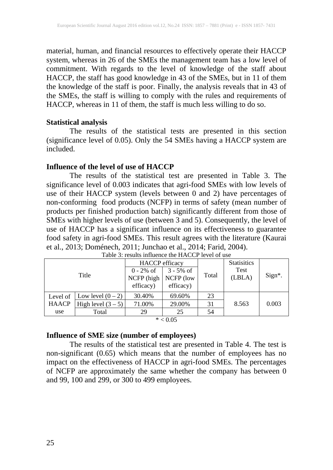material, human, and financial resources to effectively operate their HACCP system, whereas in 26 of the SMEs the management team has a low level of commitment. With regards to the level of knowledge of the staff about HACCP, the staff has good knowledge in 43 of the SMEs, but in 11 of them the knowledge of the staff is poor. Finally, the analysis reveals that in 43 of the SMEs, the staff is willing to comply with the rules and requirements of HACCP, whereas in 11 of them, the staff is much less willing to do so.

### **Statistical analysis**

The results of the statistical tests are presented in this section (significance level of 0.05). Only the 54 SMEs having a HACCP system are included.

### **Influence of the level of use of HACCP**

The results of the statistical test are presented in Table 3. The significance level of 0.003 indicates that agri-food SMEs with low levels of use of their HACCP system (levels between 0 and 2) have percentages of non-conforming food products (NCFP) in terms of safety (mean number of products per finished production batch) significantly different from those of SMEs with higher levels of use (between  $\overline{3}$  and  $\overline{5}$ ). Consequently, the level of use of HACCP has a significant influence on its effectiveness to guarantee food safety in agri-food SMEs. This result agrees with the literature (Kaurai et al., 2013; Doménech, 2011; Junchao et al., 2014; Farid, 2004).

|              |                      | <b>HACCP</b> efficacy |                                        |       | <b>Statisitics</b> |        |
|--------------|----------------------|-----------------------|----------------------------------------|-------|--------------------|--------|
|              |                      | $0 - 2\% \text{ of }$ | $3 - 5\% \text{ of }$                  |       | Test               |        |
|              | Title                | NCFP (high            | NCFP (low                              | Total | (LBLA)             | Sign*. |
|              |                      | efficacy)             | efficacy)                              |       |                    |        |
| Level of     | Low level $(0-2)$    | 30.40%                | 69.60%                                 | 23    |                    |        |
| <b>HAACP</b> | High level $(3 – 5)$ | 71.00%                | 29.00%                                 | 31    | 8.563              | 0.003  |
| use          | Total                | 29                    | 25                                     | 54    |                    |        |
|              |                      |                       | $\mathbf{a}$ $\mathbf{a}$ $\mathbf{b}$ |       |                    |        |

|  | Table 3: results influence the HACCP level of use |  |  |
|--|---------------------------------------------------|--|--|
|  |                                                   |  |  |

#### $* < 0.05$

## **Influence of SME size (number of employees)**

The results of the statistical test are presented in Table 4. The test is non-significant (0.65) which means that the number of employees has no impact on the effectiveness of HACCP in agri-food SMEs. The percentages of NCFP are approximately the same whether the company has between 0 and 99, 100 and 299, or 300 to 499 employees.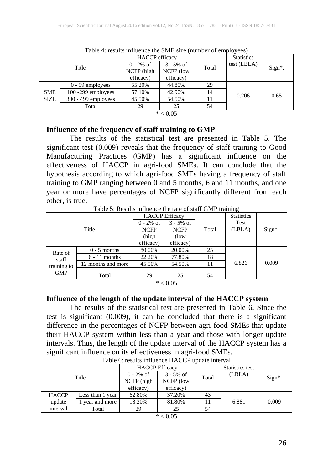| Title       |                       | <b>HACCP</b> efficacy |                             |       | <b>Statistics</b> |        |
|-------------|-----------------------|-----------------------|-----------------------------|-------|-------------------|--------|
|             |                       | $0 - 2\% \text{ of }$ | $3 - 5\% \text{ of }$       | Total | test (LBLA)       | Sign*. |
|             |                       | NCFP (high            | NCFP (low                   |       |                   |        |
|             |                       | efficacy)             | efficacy)                   |       |                   |        |
|             | $0 - 99$ employees    | 55.20%                | 44.80%                      | 29    |                   |        |
| <b>SME</b>  | $100 - 299$ employees | 57.10%                | 42.90%                      | 14    | 0.206             | 0.65   |
| <b>SIZE</b> | $300 - 499$ employees | 45.50%                | 54.50%                      | 11    |                   |        |
|             | Total                 | 29                    | 25                          | 54    |                   |        |
|             |                       |                       | $*$ $\wedge$ $\wedge$ $\in$ |       |                   |        |

Table  $4$  results influence the SME size (number of employees)

 $* < 0.05$ 

### **Influence of the frequency of staff training to GMP**

The results of the statistical test are presented in Table 5. The significant test (0.009) reveals that the frequency of staff training to Good Manufacturing Practices (GMP) has a significant influence on the effectiveness of HACCP in agri-food SMEs. It can conclude that the hypothesis according to which agri-food SMEs having a frequency of staff training to GMP ranging between 0 and 5 months, 6 and 11 months, and one year or more have percentages of NCFP significantly different from each other, is true.

Table 5: Results influence the rate of staff GMP training

|             |                    | <b>HACCP</b> Efficacy |                       |       | <b>Statistics</b> |            |
|-------------|--------------------|-----------------------|-----------------------|-------|-------------------|------------|
|             |                    | $0 - 2\% \text{ of}$  | $3 - 5\% \text{ of }$ |       | Test              |            |
|             | Title              | <b>NCFP</b>           | <b>NCFP</b>           | Total | (LBLA)            | $Sign^*$ . |
|             |                    | (high                 | (low)                 |       |                   |            |
|             |                    | efficacy)             | efficacy)             |       |                   |            |
| Rate of     | $0 - 5$ months     | 80.00%                | 20.00%                | 25    |                   |            |
| staff       | $6 - 11$ months    | 22.20%                | 77.80%                | 18    |                   |            |
| training to | 12 months and more | 45.50%                | 54.50%                | 11    | 6.826             | 0.009      |
| <b>GMP</b>  | Total              | 29                    | 25                    | 54    |                   |            |

 $* < 0.05$ 

### **Influence of the length of the update interval of the HACCP system**

The results of the statistical test are presented in Table 6. Since the test is significant (0.009), it can be concluded that there is a significant difference in the percentages of NCFP between agri-food SMEs that update their HACCP system within less than a year and those with longer update intervals. Thus, the length of the update interval of the HACCP system has a significant influence on its effectiveness in agri-food SMEs.

|              |                  | <b>HACCP</b> Efficacy                            |                                                 |       | Statistics test |            |
|--------------|------------------|--------------------------------------------------|-------------------------------------------------|-------|-----------------|------------|
|              | Title            | $0 - 2\% \text{ of }$<br>NCFP (high<br>efficacy) | $3 - 5\% \text{ of }$<br>NCFP (low<br>efficacy) | Total | (LBLA)          | $Sign^*$ . |
| <b>HACCP</b> | Less than 1 year | 62.80%                                           | 37.20%                                          | 43    |                 |            |
| update       | year and more    | 18.20%                                           | 81.80%                                          |       | 6.881           | 0.009      |
| interval     | Total            | 29                                               | 25                                              | 54    |                 |            |

Table 6: results influence HACCP update interval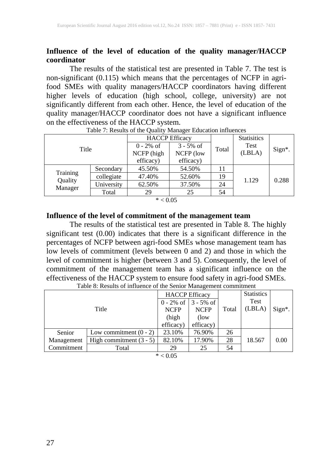### **Influence of the level of education of the quality manager/HACCP coordinator**

The results of the statistical test are presented in Table 7. The test is non-significant (0.115) which means that the percentages of NCFP in agrifood SMEs with quality managers/HACCP coordinators having different higher levels of education (high school, college, university) are not significantly different from each other. Hence, the level of education of the quality manager/HACCP coordinator does not have a significant influence on the effectiveness of the HACCP system.

| Title              |            | <b>HACCP</b> Efficacy |                       |       | <b>Statisitics</b> |        |
|--------------------|------------|-----------------------|-----------------------|-------|--------------------|--------|
|                    |            | $0 - 2\% \text{ of }$ | $3 - 5\% \text{ of }$ | Total | Test               |        |
|                    |            | NCFP (high            | NCFP (low             |       | (LBLA)             | Sign*. |
|                    |            | efficacy)             | efficacy)             |       |                    |        |
|                    | Secondary  | 45.50%                | 54.50%                |       |                    |        |
| Training           | collegiate | 47.40%                | 52.60%                | 19    | 1.129              | 0.288  |
| Quality<br>Manager | University | 62.50%                | 37.50%                | 24    |                    |        |
|                    | Total      | 29                    | 25                    | 54    |                    |        |

Table 7: Results of the Quality Manager Education influences

#### $* < 0.05$

#### **Influence of the level of commitment of the management team**

The results of the statistical test are presented in Table 8. The highly significant test (0.00) indicates that there is a significant difference in the percentages of NCFP between agri-food SMEs whose management team has low levels of commitment (levels between 0 and 2) and those in which the level of commitment is higher (between 3 and 5). Consequently, the level of commitment of the management team has a significant influence on the effectiveness of the HACCP system to ensure food safety in agri-food SMEs.

| Title      |                           | <b>HACCP</b> Efficacy<br><b>NCFP</b><br>(high<br>efficacy) | $0 - 2\% \text{ of } 3 - 5\% \text{ of }$<br><b>NCFP</b><br>(low)<br>efficacy) | Total | <b>Statistics</b><br><b>Test</b><br>(LBLA) | Sign*. |
|------------|---------------------------|------------------------------------------------------------|--------------------------------------------------------------------------------|-------|--------------------------------------------|--------|
| Senior     | Low commitment $(0 - 2)$  | 23.10%                                                     | 76.90%                                                                         | 26    |                                            |        |
| Management | High commitment $(3 - 5)$ | 82.10%                                                     | 17.90%                                                                         | 28    | 18.567                                     | 0.00   |
| Commitment | Total                     | 29                                                         | 25                                                                             | 54    |                                            |        |
|            |                           | $*$ $\wedge$ $\wedge$ $\sim$                               |                                                                                |       |                                            |        |

Table 8: Results of influence of the Senior Management commitment

 $* < 0.05$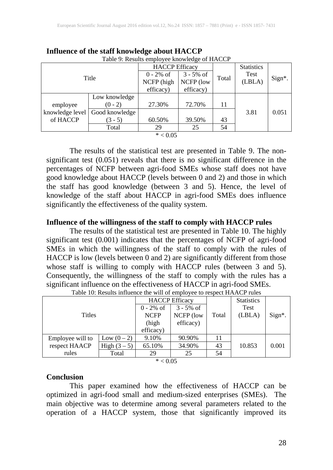| Table 9: Results employee knowledge of HACCP |                |                       |                       |       |                   |        |  |  |  |
|----------------------------------------------|----------------|-----------------------|-----------------------|-------|-------------------|--------|--|--|--|
|                                              |                | <b>HACCP</b> Efficacy |                       |       | <b>Statistics</b> |        |  |  |  |
|                                              | Title          | $0 - 2\% \text{ of }$ | $3 - 5\% \text{ of }$ | Total | <b>Test</b>       | Sign*. |  |  |  |
|                                              |                | NCFP (high            | NCFP (low             |       | (LBLA)            |        |  |  |  |
|                                              |                | efficacy)             | efficacy)             |       |                   |        |  |  |  |
|                                              | Low knowledge  |                       |                       |       |                   |        |  |  |  |
| employee                                     | $(0 - 2)$      | 27.30%                | 72.70%                | 11    |                   |        |  |  |  |
| knowledge level                              | Good knowledge |                       |                       |       | 3.81              | 0.051  |  |  |  |
| of HACCP                                     | $(3 - 5)$      | 60.50%                | 39.50%                | 43    |                   |        |  |  |  |
|                                              | Total          | 29                    | 25                    | 54    |                   |        |  |  |  |
|                                              |                | $* < 0.05$            |                       |       |                   |        |  |  |  |

**Influence of the staff knowledge about HACCP**

The results of the statistical test are presented in Table 9. The nonsignificant test (0.051) reveals that there is no significant difference in the percentages of NCFP between agri-food SMEs whose staff does not have good knowledge about HACCP (levels between 0 and 2) and those in which the staff has good knowledge (between 3 and 5). Hence, the level of knowledge of the staff about HACCP in agri-food SMEs does influence significantly the effectiveness of the quality system.

### **Influence of the willingness of the staff to comply with HACCP rules**

The results of the statistical test are presented in Table 10. The highly significant test (0.001) indicates that the percentages of NCFP of agri-food SMEs in which the willingness of the staff to comply with the rules of HACCP is low (levels between 0 and 2) are significantly different from those whose staff is willing to comply with HACCP rules (between 3 and 5). Consequently, the willingness of the staff to comply with the rules has a significant influence on the effectiveness of HACCP in agri-food SMEs.

|                  |               | <b>HACCP</b> Efficacy |                      | <b>Statistics</b> |             |        |
|------------------|---------------|-----------------------|----------------------|-------------------|-------------|--------|
|                  |               | $0 - 2\% \text{ of }$ | $3 - 5\% \text{ of}$ |                   | <b>Test</b> |        |
| <b>Titles</b>    |               | <b>NCFP</b>           | NCFP (low            | Total             | (LBLA)      | Sign*. |
|                  |               | (high                 | efficacy)            |                   |             |        |
|                  |               | efficacy)             |                      |                   |             |        |
| Employee will to | Low $(0 - 2)$ | 9.10%                 | 90.90%               |                   |             |        |
| respect HAACP    | High $(3-5)$  | 65.10%                | 34.90%               | 43                | 10.853      | 0.001  |
| rules            | Total         | 29                    | 25                   | 54                |             |        |

Table 10: Results influence the will of employee to respect HAACP rules

 $* < 0.05$ 

#### **Conclusion**

This paper examined how the effectiveness of HACCP can be optimized in agri-food small and medium-sized enterprises (SMEs). The main objective was to determine among several parameters related to the operation of a HACCP system, those that significantly improved its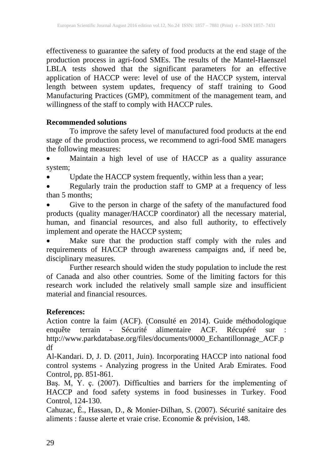effectiveness to guarantee the safety of food products at the end stage of the production process in agri-food SMEs. The results of the Mantel-Haenszel LBLA tests showed that the significant parameters for an effective application of HACCP were: level of use of the HACCP system, interval length between system updates, frequency of staff training to Good Manufacturing Practices (GMP), commitment of the management team, and willingness of the staff to comply with HACCP rules.

## **Recommended solutions**

To improve the safety level of manufactured food products at the end stage of the production process, we recommend to agri-food SME managers the following measures:

• Maintain a high level of use of HACCP as a quality assurance system;

• Update the HACCP system frequently, within less than a year;

**Regularly train the production staff to GMP at a frequency of less** than 5 months;

• Give to the person in charge of the safety of the manufactured food products (quality manager/HACCP coordinator) all the necessary material, human, and financial resources, and also full authority, to effectively implement and operate the HACCP system;

• Make sure that the production staff comply with the rules and requirements of HACCP through awareness campaigns and, if need be, disciplinary measures.

Further research should widen the study population to include the rest of Canada and also other countries. Some of the limiting factors for this research work included the relatively small sample size and insufficient material and financial resources.

## **References:**

Action contre la faim (ACF). (Consulté en 2014). Guide méthodologique enquête terrain - Sécurité alimentaire ACF. Récupéré sur : http://www.parkdatabase.org/files/documents/0000\_Echantillonnage\_ACF.p df

Al-Kandari. D, J. D. (2011, Juin). Incorporating HACCP into national food control systems - Analyzing progress in the United Arab Emirates. Food Control, pp. 851-861.

Baş. M, Y. ç. (2007). Difficulties and barriers for the implementing of HACCP and food safety systems in food businesses in Turkey. Food Control, 124-130.

Cahuzac, É., Hassan, D., & Monier-Dilhan, S. (2007). Sécurité sanitaire des aliments : fausse alerte et vraie crise. Economie & prévision, 148.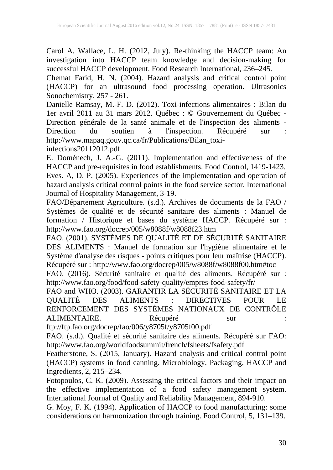Carol A. Wallace, L. H. (2012, July). Re-thinking the HACCP team: An investigation into HACCP team knowledge and decision-making for successful HACCP development. Food Research International, 236–245.

Chemat Farid, H. N. (2004). Hazard analysis and critical control point (HACCP) for an ultrasound food processing operation. Ultrasonics Sonochemistry, 257 - 261.

Danielle Ramsay, M.-F. D. (2012). Toxi-infections alimentaires : Bilan du 1er avril 2011 au 31 mars 2012. Québec : © Gouvernement du Québec - Direction générale de la santé animale et de l'inspection des aliments - Direction du soutien à l'inspection. Récupéré sur : http://www.mapaq.gouv.qc.ca/fr/Publications/Bilan\_toxiinfections20112012.pdf

E. Doménech, J. A.-G. (2011). Implementation and effectiveness of the HACCP and pre-requisites in food establishments. Food Control, 1419-1423. Eves. A, D. P. (2005). Experiences of the implementation and operation of hazard analysis critical control points in the food service sector. International Journal of Hospitality Management, 3-19.

FAO/Département Agriculture. (s.d.). Archives de documents de la FAO / Systèmes de qualité et de sécurité sanitaire des aliments : Manuel de formation / Historique et bases du système HACCP. Récupéré sur : http://www.fao.org/docrep/005/w8088f/w8088f23.htm

FAO. (2001). SYSTÈMES DE QUALITÉ ET DE SÉCURITÉ SANITAIRE DES ALIMENTS : Manuel de formation sur l'hygiène alimentaire et le Système d'analyse des risques - points critiques pour leur maîtrise (HACCP). Récupéré sur : http://www.fao.org/docrep/005/w8088f/w8088f00.htm#toc

FAO. (2016). Sécurité sanitaire et qualité des aliments. Récupéré sur : http://www.fao.org/food/food-safety-quality/empres-food-safety/fr/

FAO and WHO. (2003). GARANTIR LA SÉCURITÉ SANITAIRE ET LA QUALITÉ DES ALIMENTS : DIRECTIVES POUR LE RENFORCEMENT DES SYSTÈMES NATIONAUX DE CONTRÔLE ALIMENTAIRE. Récupéré sur : ALIMENTAIRE. Récupéré sur :

ftp://ftp.fao.org/docrep/fao/006/y8705f/y8705f00.pdf

FAO. (s.d.). Qualité et sécurité sanitaire des aliments. Récupéré sur FAO: http://www.fao.org/worldfoodsummit/french/fsheets/fsafety.pdf

Featherstone, S. (2015, January). Hazard analysis and critical control point (HACCP) systems in food canning. Microbiology, Packaging, HACCP and Ingredients, 2, 215–234.

Fotopoulos, C. K. (2009). Assessing the critical factors and their impact on the effective implementation of a food safety management system. International Journal of Quality and Reliability Management, 894-910.

G. Moy, F. K. (1994). Application of HACCP to food manufacturing: some considerations on harmonization through training. Food Control, 5, 131–139.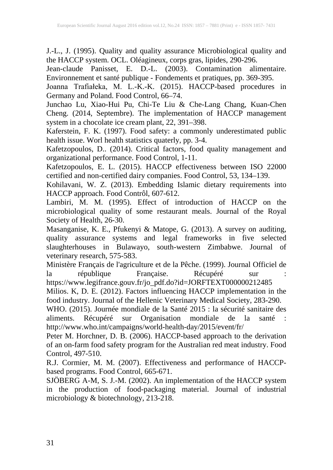J.-L., J. (1995). Quality and quality assurance Microbiological quality and the HACCP system. OCL. Oléagineux, corps gras, lipides, 290-296.

Jean-claude Panisset, E. D.-L. (2003). Contamination alimentaire. Environnement et santé publique - Fondements et pratiques, pp. 369-395.

Joanna Trafiałeka, M. L.-K.-K. (2015). HACCP-based procedures in Germany and Poland. Food Control, 66–74.

Junchao Lu, Xiao-Hui Pu, Chi-Te Liu & Che-Lang Chang, Kuan-Chen Cheng. (2014, Septembre). The implementation of HACCP management system in a chocolate ice cream plant, 22, 391–398.

Kaferstein, F. K. (1997). Food safety: a commonly underestimated public health issue. Worl health statistics quaterly, pp. 3-4.

Kafetzopoulos, D.. (2014). Critical factors, food quality management and organizational performance. Food Control, 1-11.

Kafetzopoulos, E. L. (2015). HACCP effectiveness between ISO 22000 certified and non-certified dairy companies. Food Control, 53, 134–139.

Kohilavani, W. Z. (2013). Embedding Islamic dietary requirements into HACCP approach. Food Contrôl, 607-612.

Lambiri, M. M. (1995). Effect of introduction of HACCP on the microbiological quality of some restaurant meals. Journal of the Royal Society of Health, 26-30.

Masanganise, K. E., Pfukenyi & Matope, G. (2013). A survey on auditing, quality assurance systems and legal frameworks in five selected slaughterhouses in Bulawayo, south-western Zimbabwe. Journal of veterinary research, 575-583.

Ministère Français de l'agriculture et de la Pêche. (1999). Journal Officiel de<br>la république Française. Récupéré sur : la république Française. Récupéré sur

https://www.legifrance.gouv.fr/jo\_pdf.do?id=JORFTEXT000000212485

Milios. K, D. E. (2012). Factors influencing HACCP implementation in the food industry. Journal of the Hellenic Veterinary Medical Society, 283-290.

WHO. (2015). Journée mondiale de la Santé 2015 : la sécurité sanitaire des aliments. Récupéré sur Organisation mondiale de la santé : http://www.who.int/campaigns/world-health-day/2015/event/fr/

Peter M. Horchner, D. B. (2006). HACCP-based approach to the derivation of an on-farm food safety program for the Australian red meat industry. Food Control, 497-510.

R.J. Cormier, M. M. (2007). Effectiveness and performance of HACCPbased programs. Food Control, 665-671.

SJÖBERG A-M, S. J.-M. (2002). An implementation of the HACCP system in the production of food-packaging material. Journal of industrial microbiology & biotechnology, 213-218.